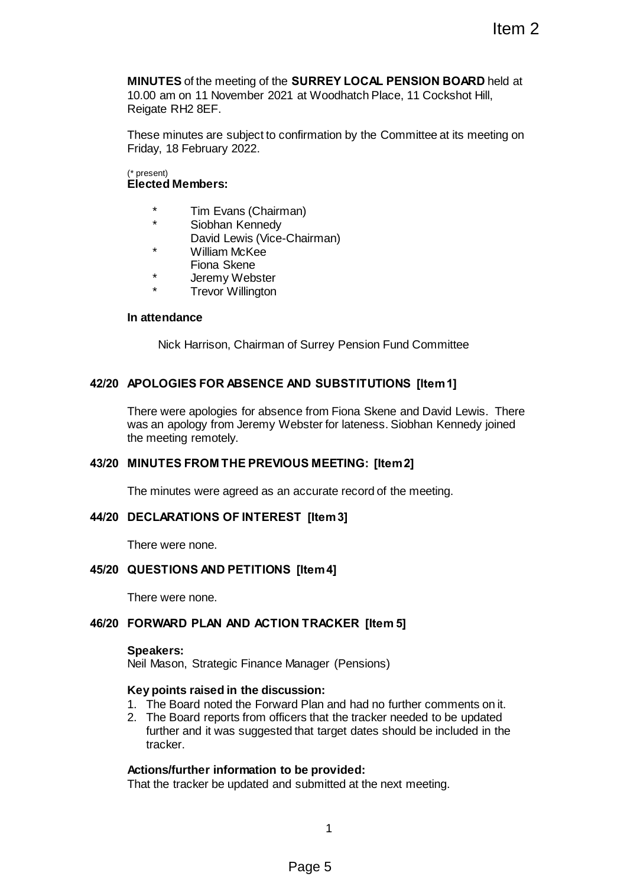**MINUTES** of the meeting of the **SURREY LOCAL PENSION BOARD** held at 10.00 am on 11 November 2021 at Woodhatch Place, 11 Cockshot Hill, Reigate RH2 8EF. Item 2<br>
SURREY LOCAL PENSION BOARD held at<br>
at at Woodhatch Place, 11 Cockshot Hill,<br>
Information by the Committee at its meeting on<br>
an)<br>
an)<br>
Chairman)<br>
Chairman)<br>
Chairman<br>
Chairman<br>
Chairman<br>
Chairman<br>
Chairman<br>
Chairm

These minutes are subject to confirmation by the Committee at its meeting on Friday, 18 February 2022.

#### (\* present) **Elected Members:**

- \* Tim Evans (Chairman)
- Siobhan Kennedv
- David Lewis (Vice-Chairman)
- \* William McKee
	- Fiona Skene
- \* Jeremy Webster
- **Trevor Willington**

# **In attendance**

Nick Harrison, Chairman of Surrey Pension Fund Committee

# **42/20 APOLOGIES FOR ABSENCE AND SUBSTITUTIONS [Item 1]**

There were apologies for absence from Fiona Skene and David Lewis. There was an apology from Jeremy Webster for lateness. Siobhan Kennedy joined the meeting remotely.

# **43/20 MINUTES FROM THE PREVIOUS MEETING: [Item 2]**

The minutes were agreed as an accurate record of the meeting.

#### **44/20 DECLARATIONS OF INTEREST [Item 3]**

There were none.

# **45/20 QUESTIONS AND PETITIONS [Item 4]**

There were none.

# **46/20 FORWARD PLAN AND ACTION TRACKER [Item 5]**

#### **Speakers:**

Neil Mason, Strategic Finance Manager (Pensions)

#### **Key points raised in the discussion:**

- 1. The Board noted the Forward Plan and had no further comments on it.
- 2. The Board reports from officers that the tracker needed to be updated further and it was suggested that target dates should be included in the tracker.

# **Actions/further information to be provided:**

That the tracker be updated and submitted at the next meeting.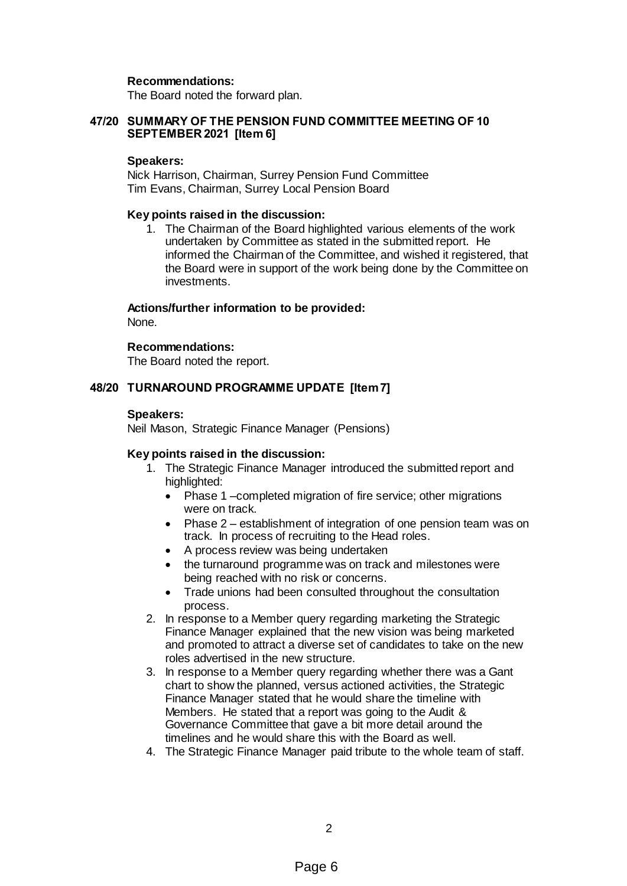## **Recommendations:**

The Board noted the forward plan.

## **47/20 SUMMARY OF THE PENSION FUND COMMITTEE MEETING OF 10 SEPTEMBER 2021 [Item 6]**

#### **Speakers:**

Nick Harrison, Chairman, Surrey Pension Fund Committee Tim Evans, Chairman, Surrey Local Pension Board

#### **Key points raised in the discussion:**

1. The Chairman of the Board highlighted various elements of the work undertaken by Committee as stated in the submitted report. He informed the Chairman of the Committee, and wished it registered, that the Board were in support of the work being done by the Committee on investments.

#### **Actions/further information to be provided:**

None.

## **Recommendations:**

The Board noted the report.

## **48/20 TURNAROUND PROGRAMME UPDATE [Item 7]**

#### **Speakers:**

Neil Mason, Strategic Finance Manager (Pensions)

#### **Key points raised in the discussion:**

- 1. The Strategic Finance Manager introduced the submitted report and highlighted:
	- Phase 1 –completed migration of fire service; other migrations were on track.
	- Phase 2 establishment of integration of one pension team was on track. In process of recruiting to the Head roles.
	- A process review was being undertaken
	- the turnaround programme was on track and milestones were being reached with no risk or concerns.
	- Trade unions had been consulted throughout the consultation process.
- 2. In response to a Member query regarding marketing the Strategic Finance Manager explained that the new vision was being marketed and promoted to attract a diverse set of candidates to take on the new roles advertised in the new structure.
- 3. In response to a Member query regarding whether there was a Gant chart to show the planned, versus actioned activities, the Strategic Finance Manager stated that he would share the timeline with Members. He stated that a report was going to the Audit & Governance Committee that gave a bit more detail around the timelines and he would share this with the Board as well.
- 4. The Strategic Finance Manager paid tribute to the whole team of staff.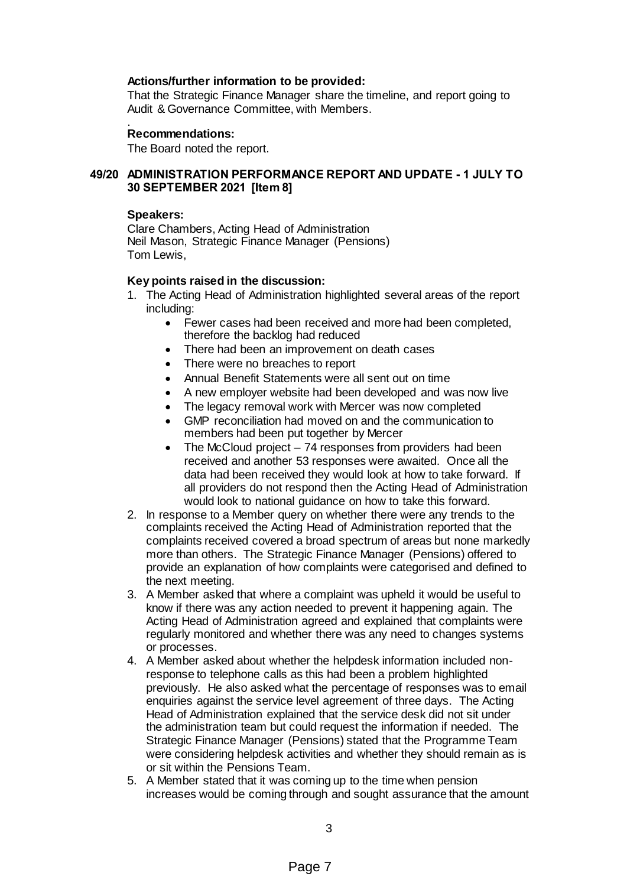## **Actions/further information to be provided:**

That the Strategic Finance Manager share the timeline, and report going to Audit & Governance Committee, with Members.

#### . **Recommendations:**

The Board noted the report.

## **49/20 ADMINISTRATION PERFORMANCE REPORT AND UPDATE - 1 JULY TO 30 SEPTEMBER 2021 [Item 8]**

#### **Speakers:**

Clare Chambers, Acting Head of Administration Neil Mason, Strategic Finance Manager (Pensions) Tom Lewis,

#### **Key points raised in the discussion:**

- 1. The Acting Head of Administration highlighted several areas of the report including:
	- Fewer cases had been received and more had been completed, therefore the backlog had reduced
	- There had been an improvement on death cases
	- There were no breaches to report
	- Annual Benefit Statements were all sent out on time
	- A new employer website had been developed and was now live
	- The legacy removal work with Mercer was now completed
	- GMP reconciliation had moved on and the communication to members had been put together by Mercer
	- The McCloud project 74 responses from providers had been received and another 53 responses were awaited. Once all the data had been received they would look at how to take forward. If all providers do not respond then the Acting Head of Administration would look to national guidance on how to take this forward.
- 2. In response to a Member query on whether there were any trends to the complaints received the Acting Head of Administration reported that the complaints received covered a broad spectrum of areas but none markedly more than others. The Strategic Finance Manager (Pensions) offered to provide an explanation of how complaints were categorised and defined to the next meeting.
- 3. A Member asked that where a complaint was upheld it would be useful to know if there was any action needed to prevent it happening again. The Acting Head of Administration agreed and explained that complaints were regularly monitored and whether there was any need to changes systems or processes.
- 4. A Member asked about whether the helpdesk information included nonresponse to telephone calls as this had been a problem highlighted previously. He also asked what the percentage of responses was to email enquiries against the service level agreement of three days. The Acting Head of Administration explained that the service desk did not sit under the administration team but could request the information if needed. The Strategic Finance Manager (Pensions) stated that the Programme Team were considering helpdesk activities and whether they should remain as is or sit within the Pensions Team.
- 5. A Member stated that it was coming up to the time when pension increases would be coming through and sought assurance that the amount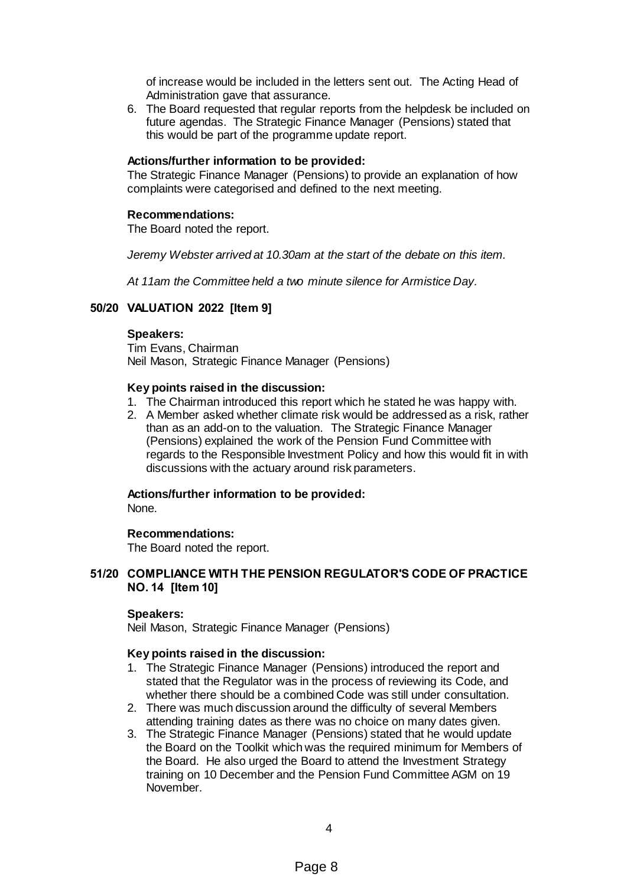of increase would be included in the letters sent out. The Acting Head of Administration gave that assurance.

6. The Board requested that regular reports from the helpdesk be included on future agendas. The Strategic Finance Manager (Pensions) stated that this would be part of the programme update report.

## **Actions/further information to be provided:**

The Strategic Finance Manager (Pensions) to provide an explanation of how complaints were categorised and defined to the next meeting.

#### **Recommendations:**

The Board noted the report.

*Jeremy Webster arrived at 10.30am at the start of the debate on this item.*

*At 11am the Committee held a two minute silence for Armistice Day.*

# **50/20 VALUATION 2022 [Item 9]**

#### **Speakers:**

Tim Evans, Chairman Neil Mason, Strategic Finance Manager (Pensions)

#### **Key points raised in the discussion:**

- 1. The Chairman introduced this report which he stated he was happy with.
- 2. A Member asked whether climate risk would be addressed as a risk, rather than as an add-on to the valuation. The Strategic Finance Manager (Pensions) explained the work of the Pension Fund Committee with regards to the Responsible Investment Policy and how this would fit in with discussions with the actuary around risk parameters.

#### **Actions/further information to be provided:**

None.

#### **Recommendations:**

The Board noted the report.

## **51/20 COMPLIANCE WITH THE PENSION REGULATOR'S CODE OF PRACTICE NO. 14 [Item 10]**

## **Speakers:**

Neil Mason, Strategic Finance Manager (Pensions)

## **Key points raised in the discussion:**

- 1. The Strategic Finance Manager (Pensions) introduced the report and stated that the Regulator was in the process of reviewing its Code, and whether there should be a combined Code was still under consultation.
- 2. There was much discussion around the difficulty of several Members attending training dates as there was no choice on many dates given.
- 3. The Strategic Finance Manager (Pensions) stated that he would update the Board on the Toolkit which was the required minimum for Members of the Board. He also urged the Board to attend the Investment Strategy training on 10 December and the Pension Fund Committee AGM on 19 November.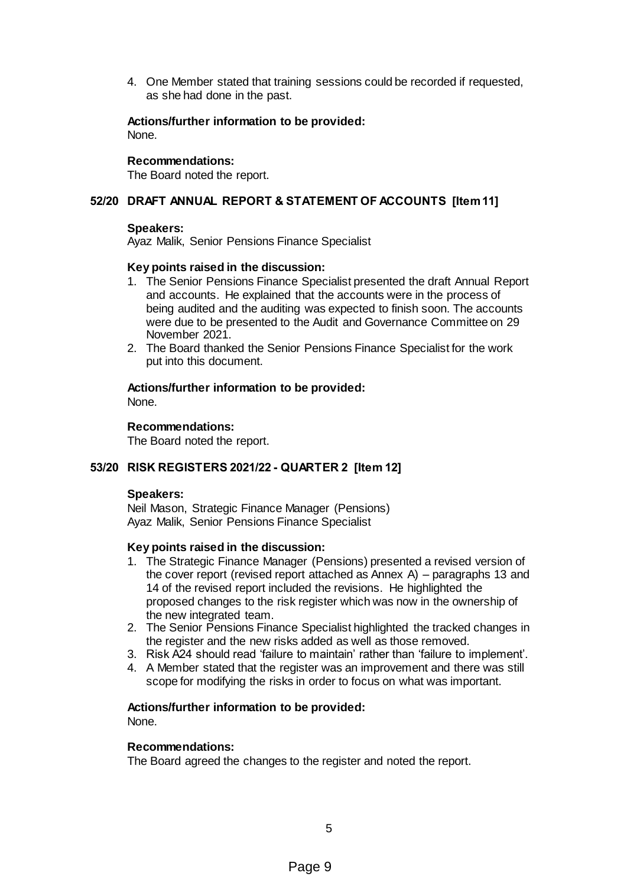4. One Member stated that training sessions could be recorded if requested, as she had done in the past.

#### **Actions/further information to be provided:** None.

#### **Recommendations:**

The Board noted the report.

# **52/20 DRAFT ANNUAL REPORT & STATEMENT OF ACCOUNTS [Item 11]**

## **Speakers:**

Ayaz Malik, Senior Pensions Finance Specialist

## **Key points raised in the discussion:**

- 1. The Senior Pensions Finance Specialist presented the draft Annual Report and accounts. He explained that the accounts were in the process of being audited and the auditing was expected to finish soon. The accounts were due to be presented to the Audit and Governance Committee on 29 November 2021.
- 2. The Board thanked the Senior Pensions Finance Specialist for the work put into this document.

# **Actions/further information to be provided:**

None.

## **Recommendations:**

The Board noted the report.

# **53/20 RISK REGISTERS 2021/22 - QUARTER 2 [Item 12]**

#### **Speakers:**

Neil Mason, Strategic Finance Manager (Pensions) Ayaz Malik, Senior Pensions Finance Specialist

# **Key points raised in the discussion:**

- 1. The Strategic Finance Manager (Pensions) presented a revised version of the cover report (revised report attached as Annex A) – paragraphs 13 and 14 of the revised report included the revisions. He highlighted the proposed changes to the risk register which was now in the ownership of the new integrated team.
- 2. The Senior Pensions Finance Specialist highlighted the tracked changes in the register and the new risks added as well as those removed.
- 3. Risk A24 should read 'failure to maintain' rather than 'failure to implement'.
- 4. A Member stated that the register was an improvement and there was still scope for modifying the risks in order to focus on what was important.

# **Actions/further information to be provided:**

None.

#### **Recommendations:**

The Board agreed the changes to the register and noted the report.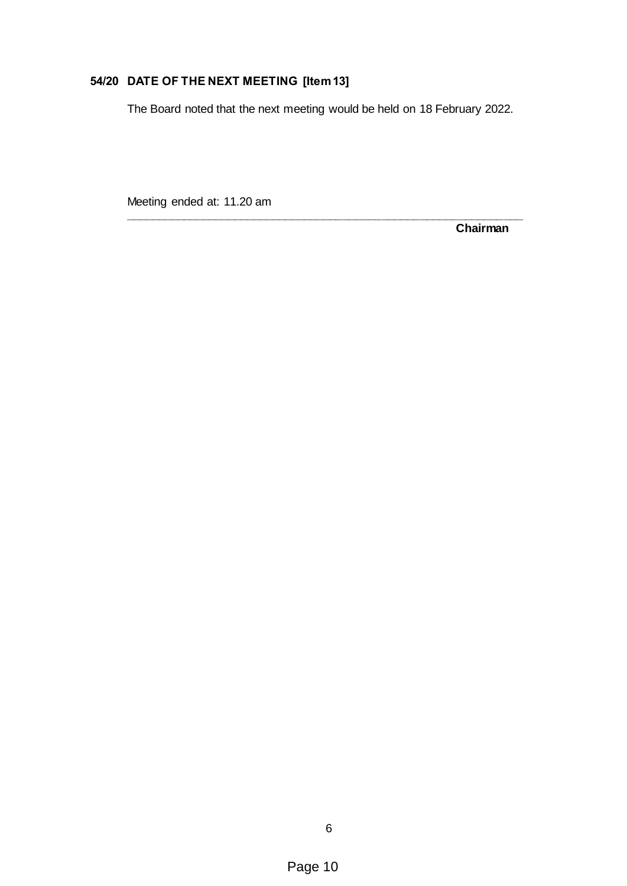# **54/20 DATE OF THE NEXT MEETING [Item 13]**

The Board noted that the next meeting would be held on 18 February 2022.

**\_\_\_\_\_\_\_\_\_\_\_\_\_\_\_\_\_\_\_\_\_\_\_\_\_\_\_\_\_\_\_\_\_\_\_\_\_\_\_\_\_\_\_\_\_\_\_\_\_\_\_\_\_\_\_\_\_\_\_\_\_\_**

Meeting ended at: 11.20 am

**Chairman**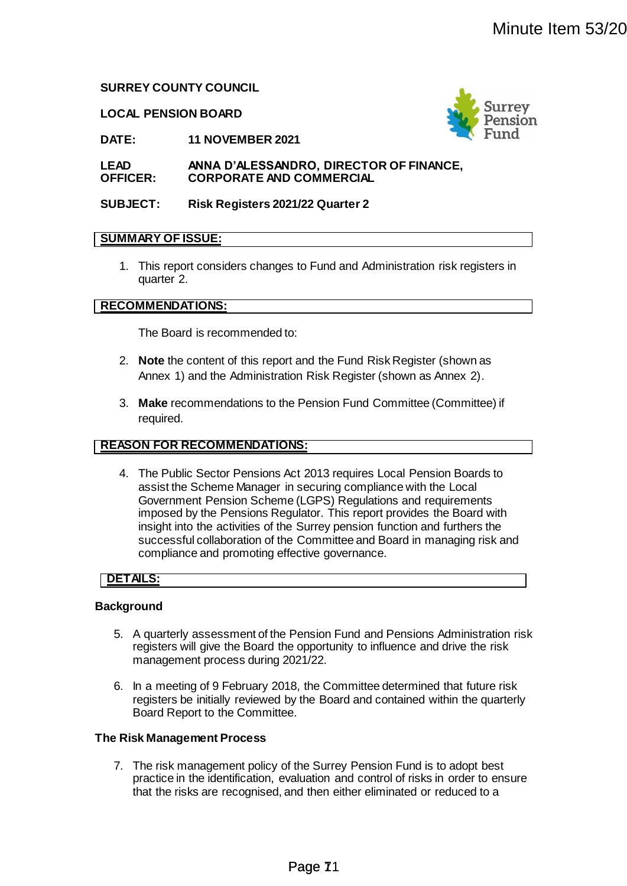# **SURREY COUNTY COUNCIL**

#### **LOCAL PENSION BOARD**



**DATE: 11 NOVEMBER 2021**

**LEAD OFFICER: ANNA D'ALESSANDRO, DIRECTOR OF FINANCE, CORPORATE AND COMMERCIAL**

**SUBJECT: Risk Registers 2021/22 Quarter 2**

## **SUMMARY OF ISSUE:**

1. This report considers changes to Fund and Administration risk registers in quarter 2.

## **RECOMMENDATIONS:**

The Board is recommended to:

- 2. **Note** the content of this report and the Fund Risk Register (shown as Annex 1) and the Administration Risk Register (shown as Annex 2).
- 3. **Make** recommendations to the Pension Fund Committee (Committee) if required.

# **REASON FOR RECOMMENDATIONS:**

4. The Public Sector Pensions Act 2013 requires Local Pension Boards to assist the Scheme Manager in securing compliance with the Local Government Pension Scheme (LGPS) Regulations and requirements imposed by the Pensions Regulator. This report provides the Board with insight into the activities of the Surrey pension function and furthers the successful collaboration of the Committee and Board in managing risk and compliance and promoting effective governance. Minute Item 53/20<br>
Minute Item 53/20<br>
Pansion<br>
21<br>
Pansion<br>
DDRO, DIRECTOR OF FINANCE,<br>
COMMERCIAL<br>
Final<br>
Final<br>
Restormed Administration risk registers in<br>
The United Restormed Restormed Administration risk registers in<br>

#### **DETAILS:**

#### **Background**

- 5. A quarterly assessment of the Pension Fund and Pensions Administration risk registers will give the Board the opportunity to influence and drive the risk management process during 2021/22.
- 6. In a meeting of 9 February 2018, the Committee determined that future risk registers be initially reviewed by the Board and contained within the quarterly Board Report to the Committee.

#### **The Risk Management Process**

7. The risk management policy of the Surrey Pension Fund is to adopt best practice in the identification, evaluation and control of risks in order to ensure that the risks are recognised, and then either eliminated or reduced to a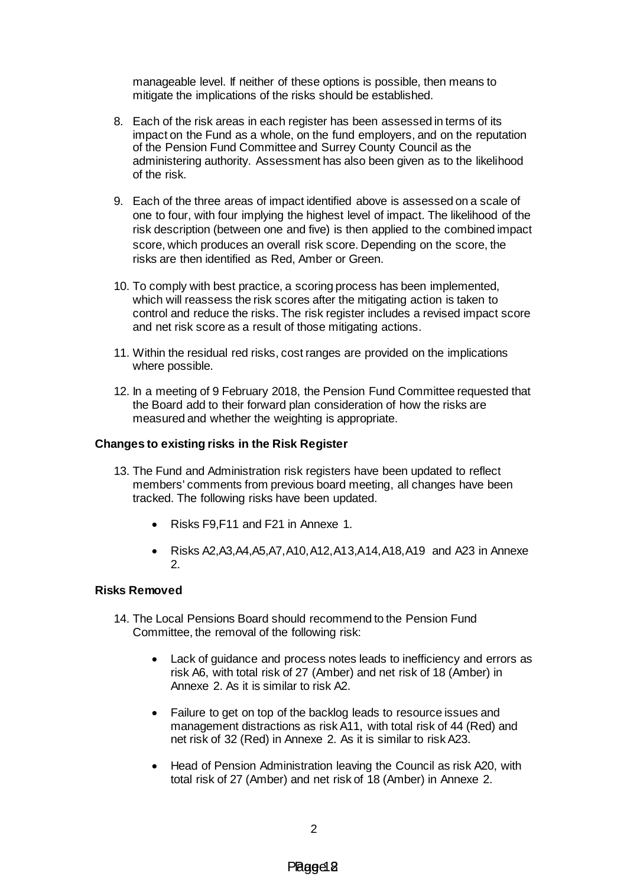manageable level. If neither of these options is possible, then means to mitigate the implications of the risks should be established.

- 8. Each of the risk areas in each register has been assessed in terms of its impact on the Fund as a whole, on the fund employers, and on the reputation of the Pension Fund Committee and Surrey County Council as the administering authority. Assessment has also been given as to the likelihood of the risk.
- 9. Each of the three areas of impact identified above is assessed on a scale of one to four, with four implying the highest level of impact. The likelihood of the risk description (between one and five) is then applied to the combined impact score, which produces an overall risk score. Depending on the score, the risks are then identified as Red, Amber or Green.
- 10. To comply with best practice, a scoring process has been implemented, which will reassess the risk scores after the mitigating action is taken to control and reduce the risks. The risk register includes a revised impact score and net risk score as a result of those mitigating actions.
- 11. Within the residual red risks, cost ranges are provided on the implications where possible.
- 12. In a meeting of 9 February 2018, the Pension Fund Committee requested that the Board add to their forward plan consideration of how the risks are measured and whether the weighting is appropriate.

# **Changes to existing risks in the Risk Register**

- 13. The Fund and Administration risk registers have been updated to reflect members' comments from previous board meeting, all changes have been tracked. The following risks have been updated.
	- Risks F9,F11 and F21 in Annexe 1.
	- Risks A2,A3,A4,A5,A7,A10,A12,A13,A14,A18,A19 and A23 in Annexe 2.

#### **Risks Removed**

- 14. The Local Pensions Board should recommend to the Pension Fund Committee, the removal of the following risk:
	- Lack of guidance and process notes leads to inefficiency and errors as risk A6, with total risk of 27 (Amber) and net risk of 18 (Amber) in Annexe 2. As it is similar to risk A2.
	- Failure to get on top of the backlog leads to resource issues and management distractions as risk A11, with total risk of 44 (Red) and net risk of 32 (Red) in Annexe 2. As it is similar to risk A23.
	- Head of Pension Administration leaving the Council as risk A20, with total risk of 27 (Amber) and net risk of 18 (Amber) in Annexe 2.

# Pagge 8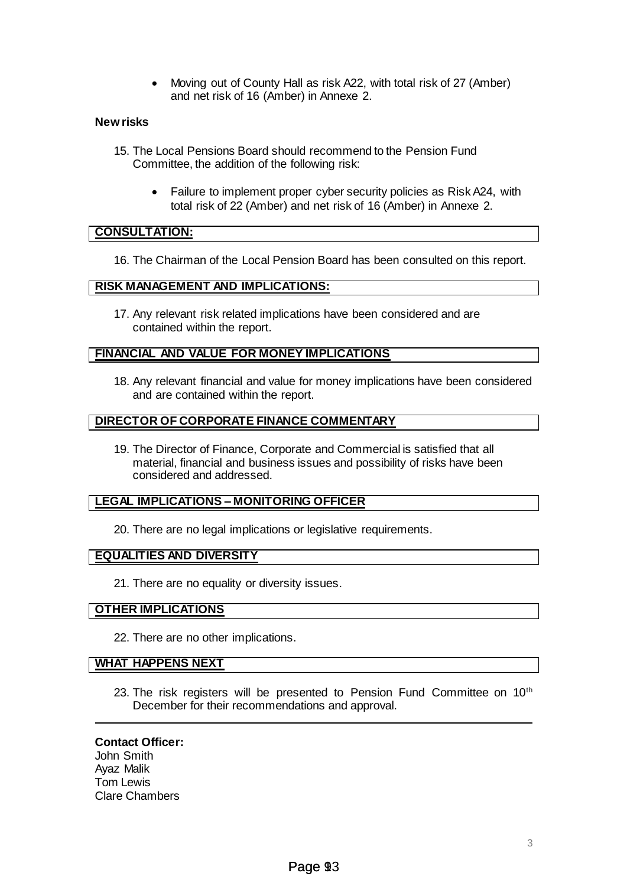Moving out of County Hall as risk A22, with total risk of 27 (Amber) and net risk of 16 (Amber) in Annexe 2.

## **New risks**

- 15. The Local Pensions Board should recommend to the Pension Fund Committee, the addition of the following risk:
	- Failure to implement proper cyber security policies as Risk A24, with total risk of 22 (Amber) and net risk of 16 (Amber) in Annexe 2.

# **CONSULTATION:**

16. The Chairman of the Local Pension Board has been consulted on this report.

# **RISK MANAGEMENT AND IMPLICATIONS:**

17. Any relevant risk related implications have been considered and are contained within the report.

# **FINANCIAL AND VALUE FOR MONEY IMPLICATIONS**

18. Any relevant financial and value for money implications have been considered and are contained within the report.

# **DIRECTOR OF CORPORATE FINANCE COMMENTARY**

19. The Director of Finance, Corporate and Commercial is satisfied that all material, financial and business issues and possibility of risks have been considered and addressed.

# **LEGAL IMPLICATIONS – MONITORING OFFICER**

20. There are no legal implications or legislative requirements.

# **EQUALITIES AND DIVERSITY**

21. There are no equality or diversity issues.

# **OTHER IMPLICATIONS**

22. There are no other implications.

# **WHAT HAPPENS NEXT**

23. The risk registers will be presented to Pension Fund Committee on 10<sup>th</sup> December for their recommendations and approval.

# **Contact Officer:**

John Smith Ayaz Malik Tom Lewis Clare Chambers